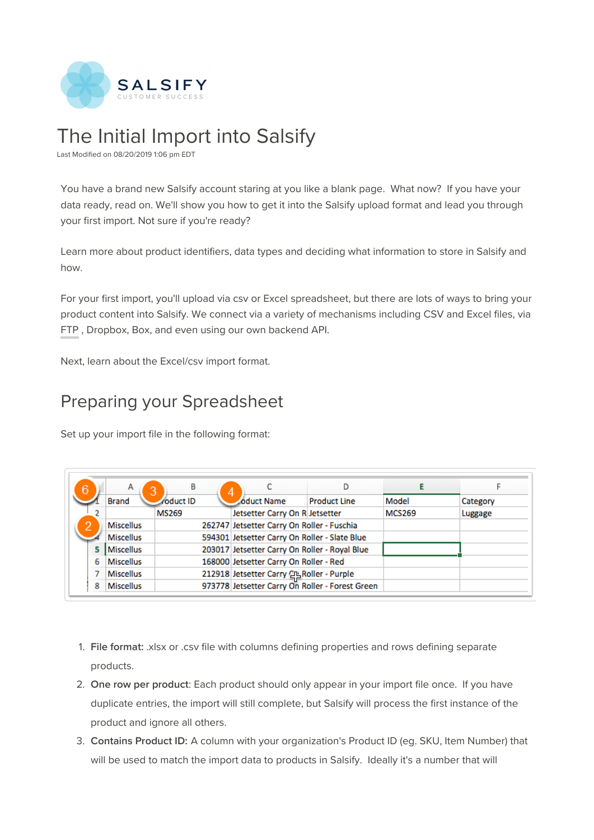

# The Initial Import into Salsify

Last Modified on 08/20/2019 1:06 pm EDT

You have a brand new Salsify account staring at you like a blank page. What now? If you have your data ready, read on. We'll show you how to get it into the Salsify upload format and lead you through your first import. Not sure if you're ready?

Learn more about product identifiers, data types and deciding what information to store in Salsify and how.

For your first import, you'll upload via csv or Excel spreadsheet, but there are lots of ways to bring your product content into Salsify. We connect via a variety of mechanisms including CSV and Excel files, via FTP , Dropbox, Box, and even using our own backend API.

Next, learn about the Excel/csv import format.

### Preparing your Spreadsheet

Set up your import file in the following format:

| 6 | А<br>3           | В         | 4 |                                               | D                                               |               |          |
|---|------------------|-----------|---|-----------------------------------------------|-------------------------------------------------|---------------|----------|
|   | Brand            | roduct ID |   | oduct Name                                    | <b>Product Line</b>                             | Model         | Category |
|   |                  | MS269     |   | Jetsetter Carry On R Jetsetter                |                                                 | <b>MCS269</b> | Luggage  |
| 2 | Miscellus        |           |   | 262747 Jetsetter Carry On Roller - Fuschia    |                                                 |               |          |
|   | <b>Miscellus</b> |           |   | 594301 Jetsetter Carry On Roller - Slate Blue |                                                 |               |          |
| 5 | Miscellus        |           |   |                                               | 203017 Jetsetter Carry On Roller - Royal Blue   |               |          |
| 6 | <b>Miscellus</b> |           |   | 168000 Jetsetter Carry On Roller - Red        |                                                 |               |          |
|   | <b>Miscellus</b> |           |   | 212918 Jetsetter Carry Zu Roller - Purple     |                                                 |               |          |
| 8 | <b>Miscellus</b> |           |   |                                               | 973778 Jetsetter Carry On Roller - Forest Green |               |          |

- 1. **File format:** .xlsx or .csv file with columns defining properties and rows defining separate products.
- 2. **One row per product**: Each product should only appear in your import file once. If you have duplicate entries, the import will still complete, but Salsify will process the first instance of the product and ignore all others.
- 3. **Contains Product ID:** A column with your organization's Product ID (eg. SKU, Item Number) that will be used to match the import data to products in Salsify. Ideally it's a number that will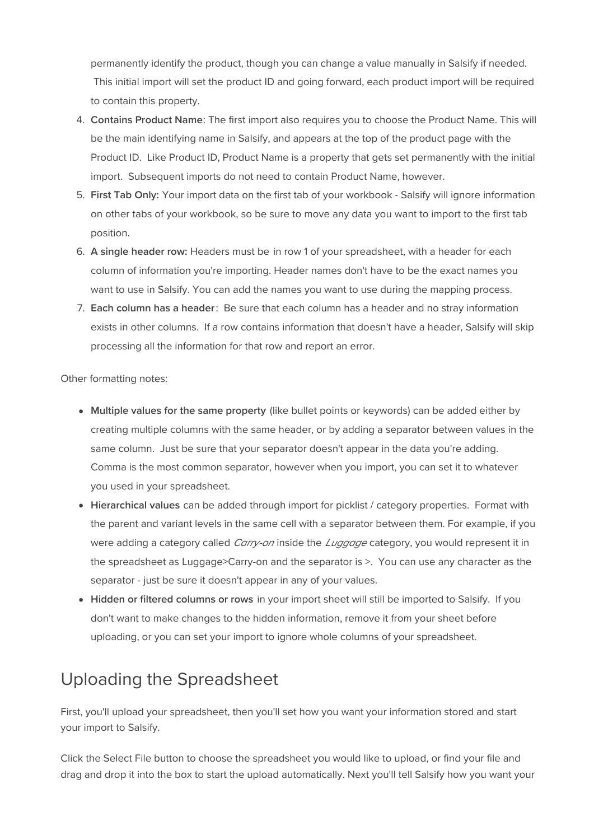permanently identify the product, though you can change a value manually in Salsify if needed. This initial import will set the product ID and going forward, each product import will be required to contain this property.

- 4. **Contains Product Name**: The first import also requires you to choose the Product Name. This will be the main identifying name in Salsify, and appears at the top of the product page with the Product ID. Like Product ID, Product Name is a property that gets set permanently with the initial import. Subsequent imports do not need to contain Product Name, however.
- 5. **First Tab Only:** Your import data on the first tab of your workbook Salsify will ignore information on other tabs of your workbook, so be sure to move any data you want to import to the first tab position.
- 6. **A single header row:** Headers must be in row 1 of your spreadsheet, with a header for each column of information you're importing. Header names don't have to be the exact names you want to use in Salsify. You can add the names you want to use during the mapping process.
- 7. **Each column has a header**: Be sure that each column has a header and no stray information exists in other columns. If a row contains information that doesn't have a header, Salsify will skip processing all the information for that row and report an error.

Other formatting notes:

- **Multiple values for the same property** (like bullet points or keywords) can be added either by creating multiple columns with the same header, or by adding a separator between values in the same column. Just be sure that your separator doesn't appear in the data you're adding. Comma is the most common separator, however when you import, you can set it to whatever you used in your spreadsheet.
- **Hierarchical values** can be added through import for picklist / category properties. Format with the parent and variant levels in the same cell with a separator between them. For example, if you were adding a category called  $Carry-on$  inside the  $Lugqqq$  category, you would represent it in the spreadsheet as Luggage>Carry-on and the separator is >. You can use any character as the separator - just be sure it doesn't appear in any of your values.
- **Hidden or filtered columns or rows** in your import sheet will still be imported to Salsify. If you don't want to make changes to the hidden information, remove it from your sheet before uploading, or you can set your import to ignore whole columns of your spreadsheet.

## Uploading the Spreadsheet

First, you'll upload your spreadsheet, then you'll set how you want your information stored and start your import to Salsify.

Click the Select File button to choose the spreadsheet you would like to upload, or find your file and drag and drop it into the box to start the upload automatically. Next you'll tell Salsify how you want your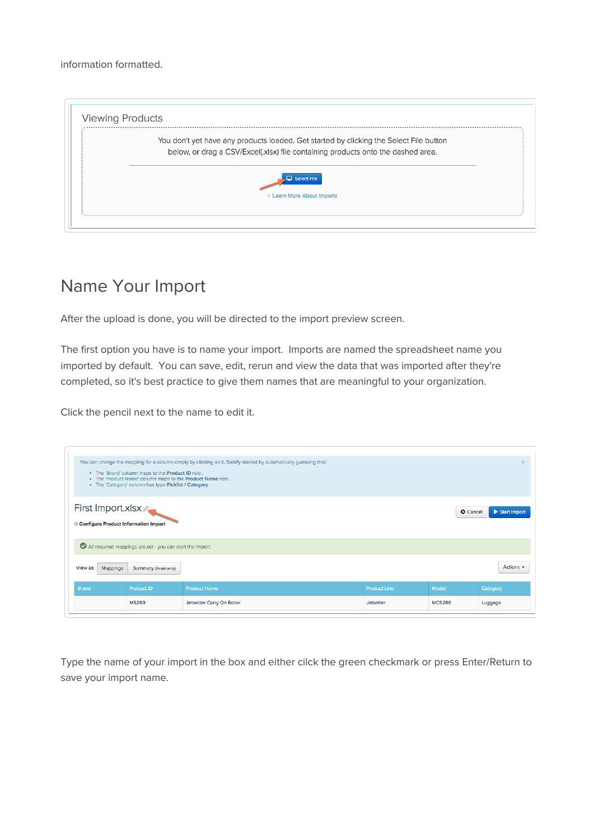| <b>Viewing Products</b>                                                                |
|----------------------------------------------------------------------------------------|
| You don't yet have any products loaded. Get started by clicking the Select File button |
| below, or drag a CSV/Excel(.xlsx) file containing products onto the dashed area.       |
| $\Box$ Select File                                                                     |
| > Learn More About Imports                                                             |
|                                                                                        |

### Name Your Import

After the upload is done, you will be directed to the import preview screen.

The first option you have is to name your import. Imports are named the spreadsheet name you imported by default. You can save, edit, rerun and view the data that was imported after they're completed, so it's best practice to give them names that are meaningful to your organization.

Click the pencil next to the name to edit it.

|                                                           | . The 'Brand' column maps to the Product ID role.<br>. The 'Product Name' column maps to the Product Name role.<br>• The 'Category' column has type Picklist / Category. | You can change the mapping for a column simply by clicking on it. Salsify started by automatically guessing that: |                     |                 | $\times$        |
|-----------------------------------------------------------|--------------------------------------------------------------------------------------------------------------------------------------------------------------------------|-------------------------------------------------------------------------------------------------------------------|---------------------|-----------------|-----------------|
| First Import.xlsx<br>Configure Product Information Import |                                                                                                                                                                          |                                                                                                                   |                     | <b>O</b> Cancel | Start Import    |
|                                                           | All required mappings are set - you can start the import.                                                                                                                |                                                                                                                   |                     |                 |                 |
| View as:<br>Mappings                                      | Summary (Read-only)                                                                                                                                                      |                                                                                                                   |                     |                 | Actions $\sim$  |
| <b>Brand</b>                                              | <b>Product ID</b>                                                                                                                                                        | <b>Product Name</b>                                                                                               | <b>Product Line</b> | Model           | <b>Category</b> |
|                                                           | <b>MS269</b>                                                                                                                                                             | Jetsetter Carry On Roller                                                                                         | Jetsetter           | <b>MCS269</b>   | Luggage         |

Type the name of your import in the box and either cilck the green checkmark or press Enter/Return to save your import name.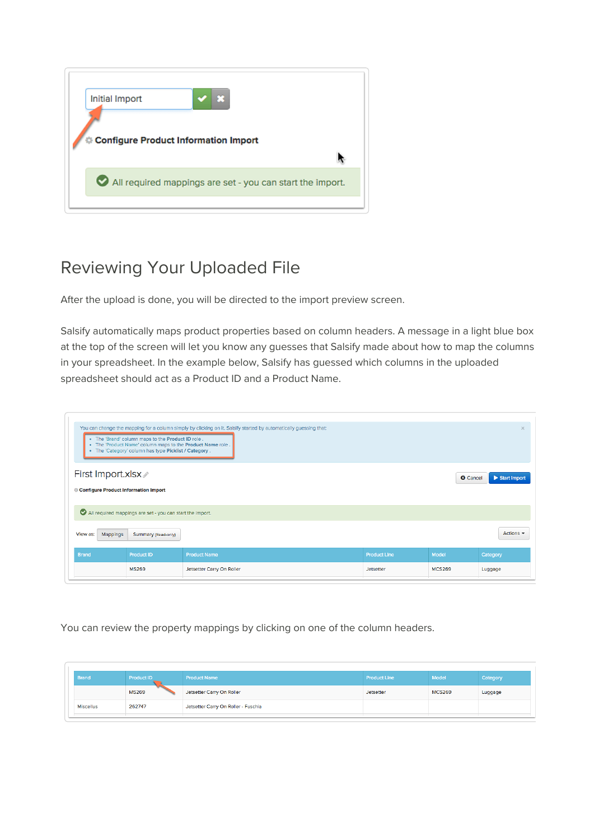| Initial Import | ×<br>Configure Product Information Import                 |  |
|----------------|-----------------------------------------------------------|--|
|                |                                                           |  |
|                | All required mappings are set - you can start the import. |  |
|                |                                                           |  |

### Reviewing Your Uploaded File

After the upload is done, you will be directed to the import preview screen.

Salsify automatically maps product properties based on column headers. A message in a light blue box at the top of the screen will let you know any guesses that Salsify made about how to map the columns in your spreadsheet. In the example below, Salsify has guessed which columns in the uploaded spreadsheet should act as a Product ID and a Product Name.

|                                                           | . The 'Brand' column maps to the Product ID role.<br>. The 'Product Name' column maps to the Product Name role.<br>• The 'Category' column has type Picklist / Category. | You can change the mapping for a column simply by clicking on it. Salsify started by automatically guessing that: |                     |                 | $\times$        |
|-----------------------------------------------------------|--------------------------------------------------------------------------------------------------------------------------------------------------------------------------|-------------------------------------------------------------------------------------------------------------------|---------------------|-----------------|-----------------|
| First Import.xlsx<br>Configure Product Information Import |                                                                                                                                                                          |                                                                                                                   |                     | <b>O</b> Cancel | Start Import    |
|                                                           | All required mappings are set - you can start the import.                                                                                                                |                                                                                                                   |                     |                 |                 |
| View as:<br>Mappings                                      | Summary (Read-only)                                                                                                                                                      |                                                                                                                   |                     |                 | Actions $\sim$  |
| <b>Brand</b>                                              | <b>Product ID</b>                                                                                                                                                        | <b>Product Name</b>                                                                                               | <b>Product Line</b> | Model           | <b>Category</b> |
|                                                           | <b>MS269</b>                                                                                                                                                             | Jetsetter Carry On Roller                                                                                         | Jetsetter           | <b>MCS269</b>   | Luggage         |

You can review the property mappings by clicking on one of the column headers.

| <b>Brand</b>     | Product ID   | <b>Product Name</b>                 | <b>Product Line</b> | Model         | Category |
|------------------|--------------|-------------------------------------|---------------------|---------------|----------|
|                  | <b>MS269</b> | Jetsetter Carry On Roller           | <b>Jetsetter</b>    | <b>MCS269</b> | Luggage  |
| <b>Miscellus</b> | 262747       | Jetsetter Carry On Roller - Fuschia |                     |               |          |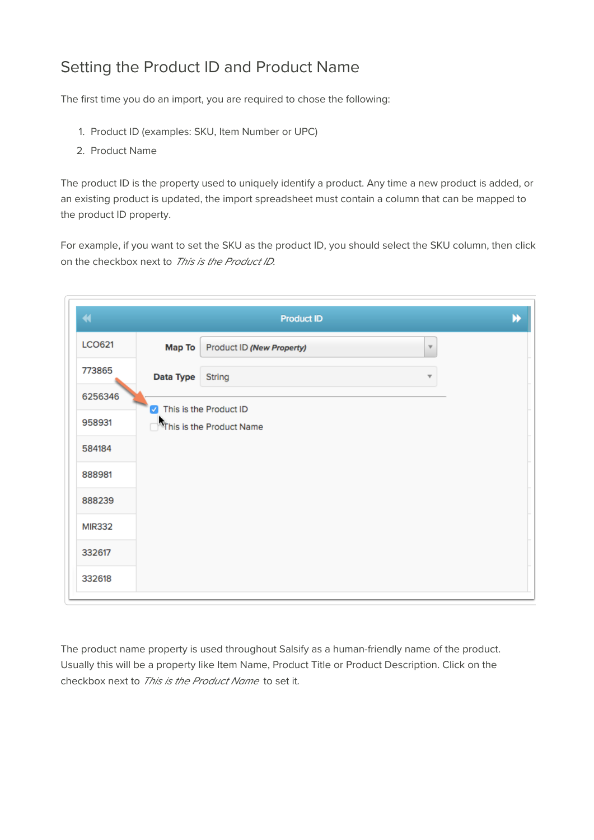#### Setting the Product ID and Product Name

The first time you do an import, you are required to chose the following:

- 1. Product ID (examples: SKU, Item Number or UPC)
- 2. Product Name

The product ID is the property used to uniquely identify a product. Any time a new product is added, or an existing product is updated, the import spreadsheet must contain a column that can be mapped to the product ID property.

For example, if you want to set the SKU as the product ID, you should select the SKU column, then click on the checkbox next to This is the Product ID.

| $\left\langle \left($ |                        | <b>Product ID</b>         |                         | D |
|-----------------------|------------------------|---------------------------|-------------------------|---|
| LCO621                | Map To                 | Product ID (New Property) | $\overline{\mathbf{v}}$ |   |
| 773865                | Data Type              | String                    | v                       |   |
| 6256346               | This is the Product ID |                           |                         |   |
| 958931                |                        | This is the Product Name  |                         |   |
| 584184                |                        |                           |                         |   |
| 888981                |                        |                           |                         |   |
| 888239                |                        |                           |                         |   |
| <b>MIR332</b>         |                        |                           |                         |   |
| 332617                |                        |                           |                         |   |
| 332618                |                        |                           |                         |   |

The product name property is used throughout Salsify as a human-friendly name of the product. Usually this will be a property like Item Name, Product Title or Product Description. Click on the checkbox next to This is the Product Name to set it.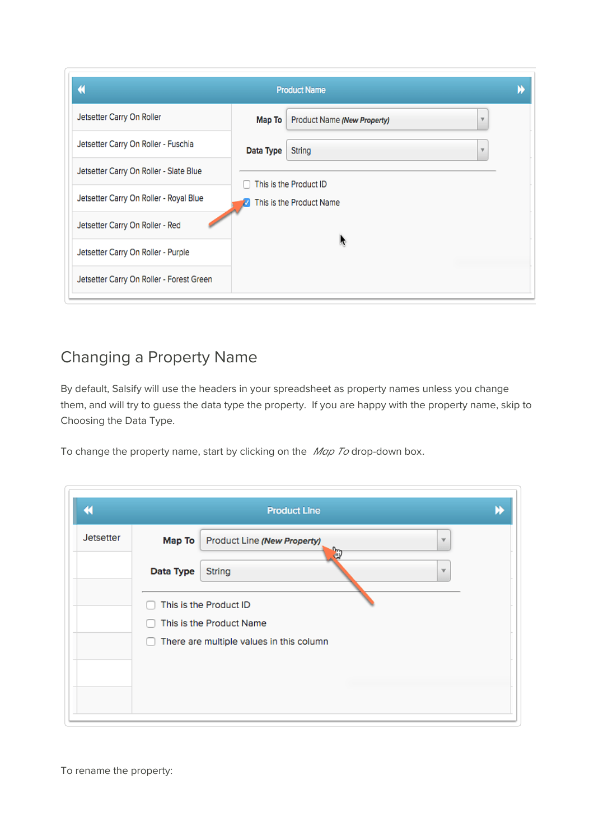| $\blacklozenge$                          | <b>Product Name</b> |                             |                         |  |  |  |
|------------------------------------------|---------------------|-----------------------------|-------------------------|--|--|--|
| Jetsetter Carry On Roller                | Map To              | Product Name (New Property) | $\overline{\mathbf{v}}$ |  |  |  |
| Jetsetter Carry On Roller - Fuschia      | Data Type           | <b>String</b>               | $\overline{\mathbf{v}}$ |  |  |  |
| Jetsetter Carry On Roller - Slate Blue   |                     | This is the Product ID      |                         |  |  |  |
| Jetsetter Carry On Roller - Royal Blue   |                     | This is the Product Name    |                         |  |  |  |
| Jetsetter Carry On Roller - Red          |                     |                             |                         |  |  |  |
| Jetsetter Carry On Roller - Purple       |                     | ¥                           |                         |  |  |  |
| Jetsetter Carry On Roller - Forest Green |                     |                             |                         |  |  |  |

#### Changing a Property Name

By default, Salsify will use the headers in your spreadsheet as property names unless you change them, and will try to guess the data type the property. If you are happy with the property name, skip to Choosing the Data Type.

To change the property name, start by clicking on the Map To drop-down box.

| Product Line (New Property)<br>Map To<br>Ŵ<br>Data Type<br><b>String</b><br>This is the Product ID | ۳<br>$\overline{\mathbf{v}}$ |
|----------------------------------------------------------------------------------------------------|------------------------------|
|                                                                                                    |                              |
|                                                                                                    |                              |
|                                                                                                    |                              |
| This is the Product Name                                                                           |                              |
| There are multiple values in this column                                                           |                              |
|                                                                                                    |                              |
|                                                                                                    |                              |
|                                                                                                    |                              |
|                                                                                                    |                              |

To rename the property: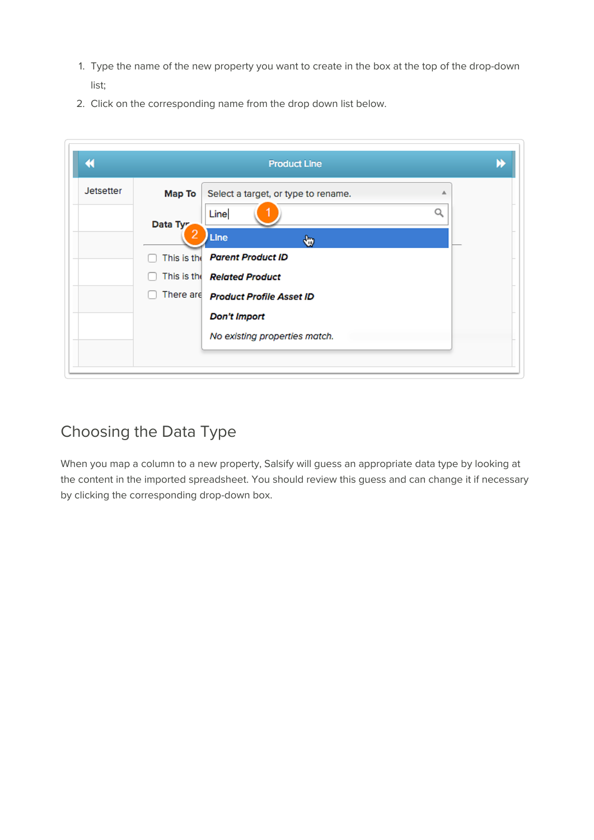- 1. Type the name of the new property you want to create in the box at the top of the drop-down list;
- 2. Click on the corresponding name from the drop down list below.

| €                |          | <b>Product Line</b>                       |   |  |
|------------------|----------|-------------------------------------------|---|--|
| <b>Jetsetter</b> | Map To   | Select a target, or type to rename.       | 业 |  |
|                  |          | Line                                      | u |  |
|                  | Data Tyr | Line<br>⊕                                 |   |  |
|                  |          | This is the Parent Product ID             |   |  |
|                  |          | This is the Related Product               |   |  |
|                  |          | There are <b>Product Profile Asset ID</b> |   |  |
|                  |          | <b>Don't Import</b>                       |   |  |
|                  |          | No existing properties match.             |   |  |

#### Choosing the Data Type

When you map a column to a new property, Salsify will guess an appropriate data type by looking at the content in the imported spreadsheet. You should review this guess and can change it if necessary by clicking the corresponding drop-down box.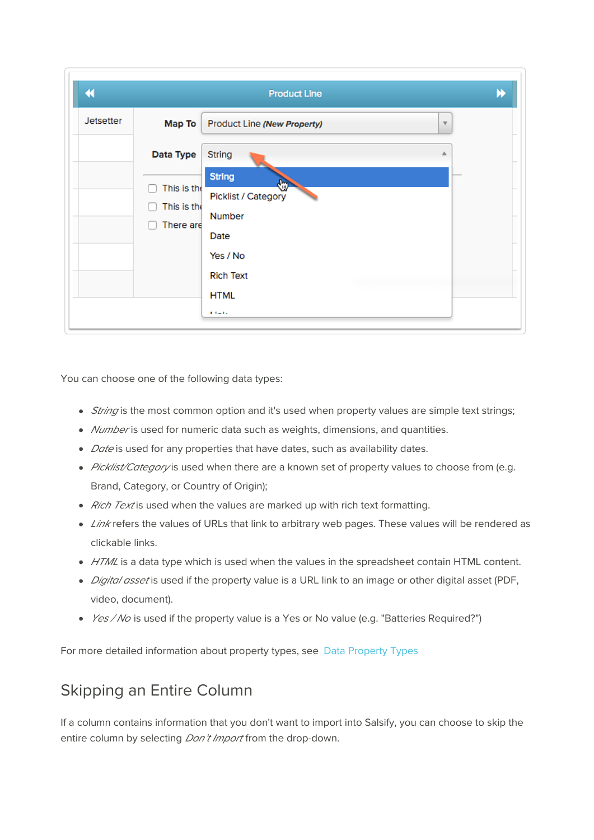

You can choose one of the following data types:

- *String* is the most common option and it's used when property values are simple text strings;
- Number is used for numeric data such as weights, dimensions, and quantities.
- *Date* is used for any properties that have dates, such as availability dates.
- Picklist/Category is used when there are a known set of property values to choose from (e.g. Brand, Category, or Country of Origin);
- Rich Text is used when the values are marked up with rich text formatting.
- $\bullet$  *Link* refers the values of URLs that link to arbitrary web pages. These values will be rendered as clickable links.
- HTML is a data type which is used when the values in the spreadsheet contain HTML content.
- Digital asset is used if the property value is a URL link to an image or other digital asset (PDF, video, document).
- $\rightarrow$  Yes / No is used if the property value is a Yes or No value (e.g. "Batteries Required?")

For more detailed information about property types, see Data Property Types

#### Skipping an Entire Column

If a column contains information that you don't want to import into Salsify, you can choose to skip the entire column by selecting *Don't Import* from the drop-down.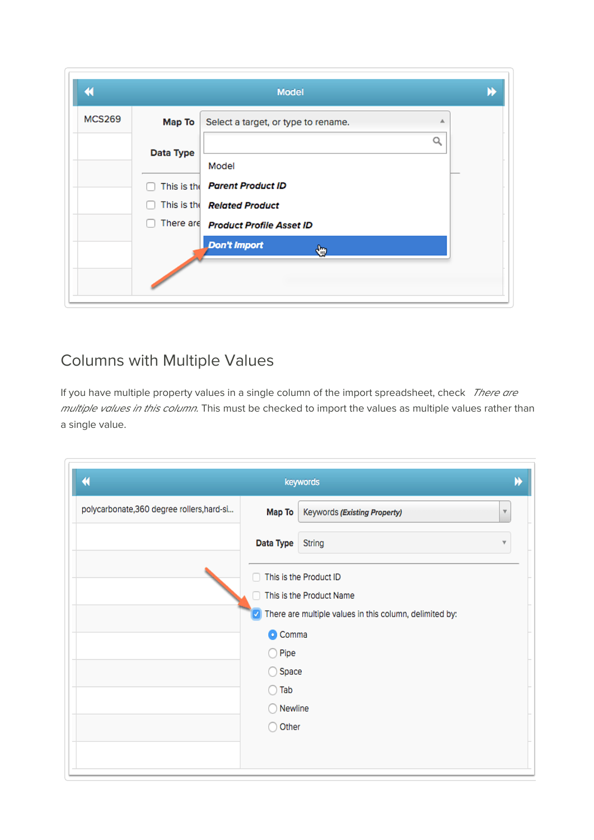| K             |           | Model                               |  |
|---------------|-----------|-------------------------------------|--|
| <b>MCS269</b> | Map To    | Select a target, or type to rename. |  |
|               | Data Type | Q                                   |  |
|               |           | Model                               |  |
|               |           | This is the Parent Product ID       |  |
|               |           | This is the <b>Related Product</b>  |  |
|               |           | There are Product Profile Asset ID  |  |
|               |           | Don't Import<br>⊕                   |  |
|               |           |                                     |  |
|               |           |                                     |  |

### Columns with Multiple Values

If you have multiple property values in a single column of the import spreadsheet, check There are multiple values in this column. This must be checked to import the values as multiple values rather than a single value.

| €                                          |                 | keywords                                                |   |
|--------------------------------------------|-----------------|---------------------------------------------------------|---|
| polycarbonate, 360 degree rollers, hard-si | Map To          | Keywords (Existing Property)                            | v |
|                                            | Data Type       | <b>String</b>                                           | v |
|                                            |                 | This is the Product ID                                  |   |
|                                            | П               | This is the Product Name                                |   |
|                                            |                 | There are multiple values in this column, delimited by: |   |
|                                            | Comma           |                                                         |   |
|                                            | $\bigcirc$ Pipe |                                                         |   |
|                                            | Space           |                                                         |   |
|                                            | Tab             |                                                         |   |
|                                            | Newline         |                                                         |   |
|                                            | Other           |                                                         |   |
|                                            |                 |                                                         |   |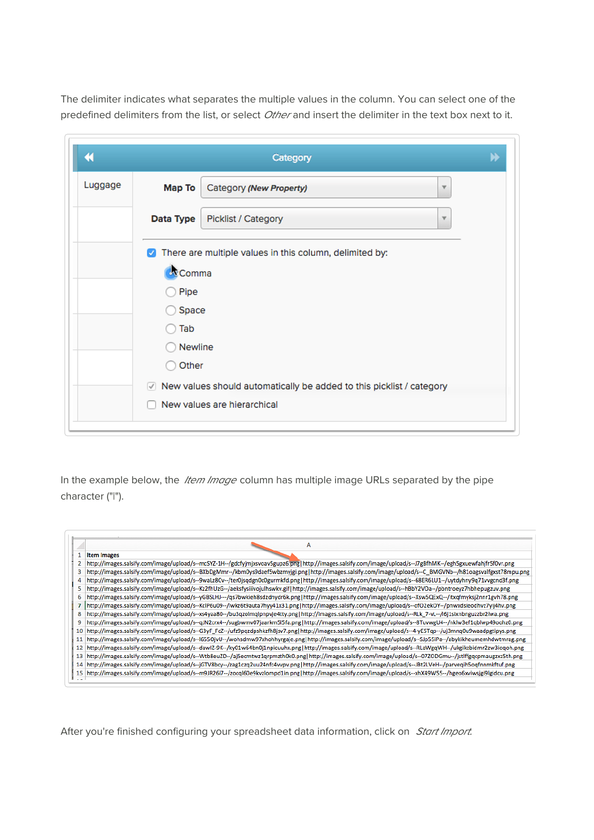The delimiter indicates what separates the multiple values in the column. You can select one of the predefined delimiters from the list, or select Other and insert the delimiter in the text box next to it.

| €       |           | Category                                                             | H |
|---------|-----------|----------------------------------------------------------------------|---|
| Luggage | Map To    | Category (New Property)<br>$\mathbf{v}$                              |   |
|         | Data Type | Picklist / Category<br>v                                             |   |
|         | V         | There are multiple values in this column, delimited by:              |   |
|         | Comma     |                                                                      |   |
|         | Pipe      |                                                                      |   |
|         | Space     |                                                                      |   |
|         | Tab       |                                                                      |   |
|         | Newline   |                                                                      |   |
|         | Other     |                                                                      |   |
|         | $\sqrt{}$ | New values should automatically be added to this picklist / category |   |
|         |           | New values are hierarchical                                          |   |

In the example below, the *Item Image* column has multiple image URLs separated by the pipe character ("|").

|    | A                                                                                                                                                           |
|----|-------------------------------------------------------------------------------------------------------------------------------------------------------------|
|    | <b>Item Images</b>                                                                                                                                          |
|    | http://images.salsify.com/image/upload/s--mcSYZ-1H--/gdcfyjmjxsvoav5gupz6.png http://images.salsify.com/image/upload/s--J7gBfhMK--/egh5gxuewfahjfr5f0vr.png |
| 3  | http://images.salsify.com/image/upload/s--BXbDgMmr--/kbm0ys9daef5wbzmyjgi.png http://images.salsify.com/image/upload/s--C_BMGVNb--/h81oagsvalfgxst78mpu.png |
| 4  | http://images.salsify.com/image/upload/s--9waLz8Cv--/ter0jsqdgn0c0gurmkfd.png http://images.salsify.com/image/upload/s--68ER6LU1--/uytdyhny9q71vvgcnd3f.png |
| 5  | http://images.salsify.com/image/upload/s--Kz2fhUzG--/aeksfysiiivojulhswkv.gif http://images.salsify.com/image/upload/s--hBbY2VOa--/pbntroeyz7hbhepugzuv.png |
| 6  | http://images.salsify.com/image/upload/s--yGBSLHJ---/qs7bwkieh8sdzdnydr6k.png http://images.salsify.com/image/upload/s--Xsw5QExQ--/itxqfmyksj2nnr1gvh78.png |
|    | http://images.salsify.com/image/upload/s--KclP6u09--/lwkz6t9auta7hyy41x31.png http://images.salsify.com/image/upload/s--ofO2ekOY--/pnwxdsieodhvz7yij4hv.png |
| 8  | http://images.salsify.com/image/upload/s--xs4yaa80--/bu3qzolmqlpnpvje4tty.png http://images.salsify.com/image/upload/s--RLk_7-vL--/l6j1sixnbnguzzbr2lwa.png |
| 9  | http://images.salsify.com/image/upload/s--qJN2crx4--/sugbwmv07jaarkm5l5fa.png http://images.salsify.com/image/upload/s--8TuvwgU4--/nklw3ef1qblwp49oohz0.png |
| 10 | http://images.salsify.com/image/upload/s--G3yF_FcZ--/ufz9pqzdpshkzfh8jsv7.png http://images.salsify.com/image/upload/s--4-yE5Tqp--/uj3mnq0u9waadpgtipys.png |
| 11 | http://images.salsify.com/image/upload/s--1655OjvU--/wohsdmw97xhohhyrgaje.png http://images.salsify.com/image/upload/s--SJp55iPa--/abykikheumemhdwtmrag.png |
| 12 | http://images.salsify.com/image/upload/s--dawIZ-9K--/ky01w64bn0j1npicuuhx.png http://images.salsify.com/image/upload/s--RLaWgqWH--/ukgikzbidmr2zw3ioqoh.png |
| 13 | http://images.salsify.com/image/upload/s--Wtb8euZD--/aj5ecmtwz1qrpmzth0k0.png http://images.salsify.com/image/upload/s--07ZODGmu--/jstlffgqcpmaugzxz5th.png |
| 14 | http://images.salsify.com/image/upload/s--jGTV8bcy--/zag1czq2uu24nfc4vvpv.png http://images.salsify.com/image/upload/s--JBt2LVeH--/parveqih5oqfnnmkftuf.png |
|    | http://images.salsify.com/image/upload/s--m9JR26i7--/zocql60e9kvzlompd1in.png http://images.salsify.com/image/upload/s--xhX49W55--/hgeo6xviwsjgi9lgidcu.png |

After you're finished configuring your spreadsheet data information, click on *Start Import.*